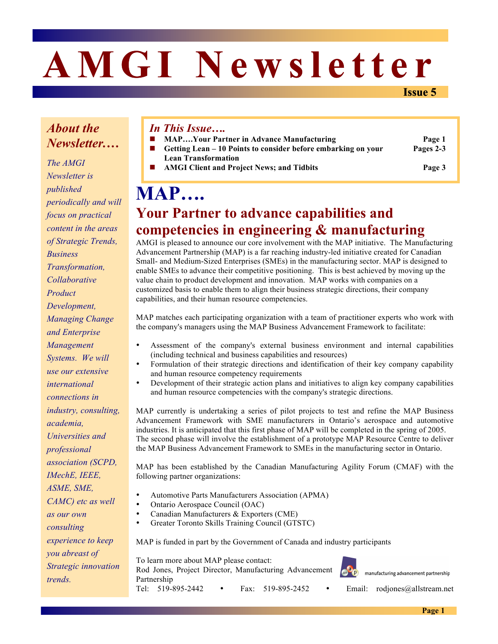# **AMGI Newsletter**

**Issue 5**

## *About the Newsletter.…*

*The AMGI Newsletter is published periodically and will focus on practical content in the areas of Strategic Trends, Business Transformation, Collaborative Product Development, Managing Change and Enterprise Management Systems. We will use our extensive international connections in industry, consulting, academia, Universities and professional association (SCPD, IMechE, IEEE, ASME, SME, CAMC) etc as well as our own consulting experience to keep you abreast of Strategic innovation trends.*

## *In This Issue….*

- **E** MAP....Your Partner in Advance Manufacturing **Page 1**<br>**Pages 2-3** Getting Lean 10 Points to consider before embarking on your Pages 2-3
	- ! **Getting Lean 10 Points to consider before embarking on your Pages 2-3 Lean Transformation**
		-
- ! **AMGI Client and Project News; and Tidbits Page 3**

## **MAP….**

## **Your Partner to advance capabilities and competencies in engineering & manufacturing**

AMGI is pleased to announce our core involvement with the MAP initiative. The Manufacturing Advancement Partnership (MAP) is a far reaching industry-led initiative created for Canadian Small- and Medium-Sized Enterprises (SMEs) in the manufacturing sector. MAP is designed to enable SMEs to advance their competitive positioning. This is best achieved by moving up the value chain to product development and innovation. MAP works with companies on a customized basis to enable them to align their business strategic directions, their company capabilities, and their human resource competencies.

MAP matches each participating organization with a team of practitioner experts who work with the company's managers using the MAP Business Advancement Framework to facilitate:

- Assessment of the company's external business environment and internal capabilities (including technical and business capabilities and resources)
- Formulation of their strategic directions and identification of their key company capability and human resource competency requirements
- Development of their strategic action plans and initiatives to align key company capabilities and human resource competencies with the company's strategic directions.

MAP currently is undertaking a series of pilot projects to test and refine the MAP Business Advancement Framework with SME manufacturers in Ontario's aerospace and automotive industries. It is anticipated that this first phase of MAP will be completed in the spring of 2005. The second phase will involve the establishment of a prototype MAP Resource Centre to deliver the MAP Business Advancement Framework to SMEs in the manufacturing sector in Ontario.

MAP has been established by the Canadian Manufacturing Agility Forum (CMAF) with the following partner organizations:

- Automotive Parts Manufacturers Association (APMA)
- Ontario Aerospace Council (OAC)
- Canadian Manufacturers & Exporters (CME)
- Greater Toronto Skills Training Council (GTSTC)

MAP is funded in part by the Government of Canada and industry participants

To learn more about MAP please contact: Rod Jones, Project Director, Manufacturing Advancement Partnership Tel: 519-895-2442 • Fax: 519-895-2452 • Email: rodjones@allstream.net



manufacturing advancement partnership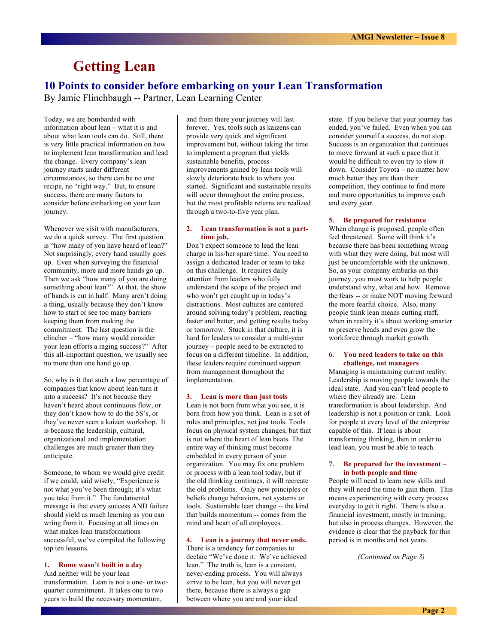## **Getting Lean**

### **10 Points to consider before embarking on your Lean Transformation**

By Jamie Flinchbaugh -- Partner, Lean Learning Center

Today, we are bombarded with information about lean – what it is and about what lean tools can do. Still, there is very little practical information on how to implement lean transformation and lead the change. Every company's lean journey starts under different circumstances, so there can be no one recipe, no "right way." But, to ensure success, there are many factors to consider before embarking on your lean journey.

Whenever we visit with manufacturers, we do a quick survey. The first question is "how many of you have heard of lean?" Not surprisingly, every hand usually goes up. Even when surveying the financial community, more and more hands go up. Then we ask "how many of you are doing something about lean?" At that, the show of hands is cut in half. Many aren't doing a thing, usually because they don't know how to start or see too many barriers keeping them from making the commitment. The last question is the clincher – "how many would consider your lean efforts a raging success?" After this all-important question, we usually see no more than one hand go up.

So, why is it that such a low percentage of companies that know about lean turn it into a success? It's not because they haven't heard about continuous flow, or they don't know how to do the 5S's, or they've never seen a kaizen workshop. It is because the leadership, cultural, organizational and implementation challenges are much greater than they anticipate.

Someone, to whom we would give credit if we could, said wisely, "Experience is not what you've been through; it's what you take from it." The fundamental message is that every success AND failure should yield as much learning as you can wring from it. Focusing at all times on what makes lean transformations successful, we've compiled the following top ten lessons.

#### **1. Rome wasn't built in a day**

And neither will be your lean transformation. Lean is not a one- or twoquarter commitment. It takes one to two years to build the necessary momentum,

and from there your journey will last forever. Yes, tools such as kaizens can provide very quick and significant improvement but, without taking the time to implement a program that yields sustainable benefits, process improvements gained by lean tools will slowly deteriorate back to where you started. Significant and sustainable results will occur throughout the entire process, but the most profitable returns are realized through a two-to-five year plan.

#### **2. Lean transformation is not a parttime job.**

Don't expect someone to lead the lean charge in his/her spare time. You need to assign a dedicated leader or team to take on this challenge. It requires daily attention from leaders who fully understand the scope of the project and who won't get caught up in today's distractions. Most cultures are centered around solving today's problem, reacting faster and better, and getting results today or tomorrow. Stuck in that culture, it is hard for leaders to consider a multi-year journey – people need to be extracted to focus on a different timeline. In addition, these leaders require continued support from management throughout the implementation.

#### **3. Lean is more than just tools**

Lean is not born from what you see, it is born from how you think. Lean is a set of rules and principles, not just tools. Tools focus on physical system changes, but that is not where the heart of lean beats. The entire way of thinking must become embedded in every person of your organization. You may fix one problem or process with a lean tool today, but if the old thinking continues, it will recreate the old problems. Only new principles or beliefs change behaviors, not systems or tools. Sustainable lean change -- the kind that builds momentum -- comes from the mind and heart of all employees.

#### **4. Lean is a journey that never ends.**

There is a tendency for companies to declare "We've done it. We've achieved lean." The truth is, lean is a constant, never-ending process. You will always strive to be lean, but you will never get there, because there is always a gap between where you are and your ideal

state. If you believe that your journey has ended, you've failed. Even when you can consider yourself a success, do not stop. Success is an organization that continues to move forward at such a pace that it would be difficult to even try to slow it down. Consider Toyota – no matter how much better they are than their competition, they continue to find more and more opportunities to improve each and every year.

#### **5. Be prepared for resistance**

When change is proposed, people often feel threatened. Some will think it's because there has been something wrong with what they were doing, but most will just be uncomfortable with the unknown. So, as your company embarks on this journey, you must work to help people understand why, what and how. Remove the fears -- or make NOT moving forward the more fearful choice. Also, many people think lean means cutting staff, when in reality it's about working smarter to preserve heads and even grow the workforce through market growth.

#### **6. You need leaders to take on this challenge, not managers**

Managing is maintaining current reality. Leadership is moving people towards the ideal state. And you can't lead people to where they already are. Lean transformation is about leadership. And leadership is not a position or rank. Look for people at every level of the enterprise capable of this. If lean is about transforming thinking, then in order to lead lean, you must be able to teach.

#### **7. Be prepared for the investment – in both people and time**

People will need to learn new skills and they will need the time to gain them. This means experimenting with every process everyday to get it right. There is also a financial investment, mostly in training, but also in process changes. However, the evidence is clear that the payback for this period is in months and not years.

*(Continued on Page 3)*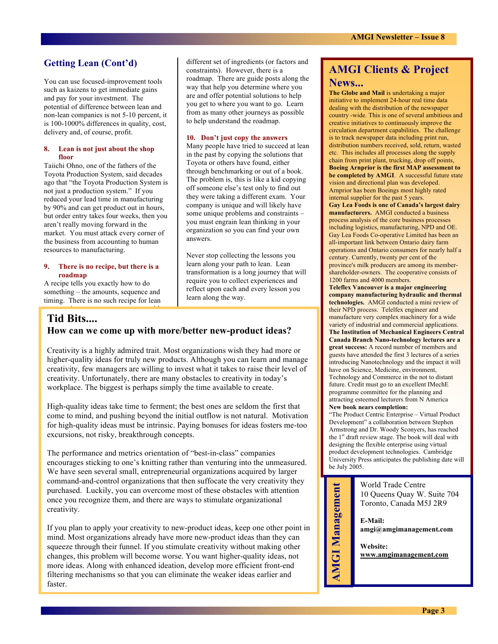### **Getting Lean (Cont'd)**

You can use focused-improvement tools such as kaizens to get immediate gains and pay for your investment. The potential of difference between lean and non-lean companies is not 5-10 percent, it is 100-1000% differences in quality, cost, delivery and, of course, profit.

#### **8. Lean is not just about the shop floor**

Taiichi Ohno, one of the fathers of the Toyota Production System, said decades ago that "the Toyota Production System is not just a production system." If you reduced your lead time in manufacturing by 90% and can get product out in hours, but order entry takes four weeks, then you aren't really moving forward in the market. You must attack every corner of the business from accounting to human resources to manufacturing.

#### **9. There is no recipe, but there is a roadmap**

A recipe tells you exactly how to do something – the amounts, sequence and timing. There is no such recipe for lean

success since every company starts with a

different set of ingredients (or factors and constraints). However, there is a roadmap. There are guide posts along the way that help you determine where you are and offer potential solutions to help you get to where you want to go. Learn from as many other journeys as possible to help understand the roadmap.

#### **10. Don't just copy the answers**

Many people have tried to succeed at lean in the past by copying the solutions that Toyota or others have found, either through benchmarking or out of a book. The problem is, this is like a kid copying off someone else's test only to find out they were taking a different exam. Your company is unique and will likely have some unique problems and constraints – you must engrain lean thinking in your organization so you can find your own answers.

Never stop collecting the lessons you learn along your path to lean. Lean transformation is a long journey that will require you to collect experiences and reflect upon each and every lesson you learn along the way.

#### **Tid Bits.... How can we come up with more/better new-product ideas?**

Creativity is a highly admired trait. Most organizations wish they had more or higher-quality ideas for truly new products. Although you can learn and manage creativity, few managers are willing to invest what it takes to raise their level of creativity. Unfortunately, there are many obstacles to creativity in today's workplace. The biggest is perhaps simply the time available to create.

High-quality ideas take time to ferment; the best ones are seldom the first that come to mind, and pushing beyond the initial outflow is not natural. Motivation for high-quality ideas must be intrinsic. Paying bonuses for ideas fosters me-too excursions, not risky, breakthrough concepts.

The performance and metrics orientation of "best-in-class" companies encourages sticking to one's knitting rather than venturing into the unmeasured. We have seen several small, entrepreneurial organizations acquired by larger command-and-control organizations that then suffocate the very creativity they purchased. Luckily, you can overcome most of these obstacles with attention once you recognize them, and there are ways to stimulate organizational creativity.

If you plan to apply your creativity to new-product ideas, keep one other point in mind. Most organizations already have more new-product ideas than they can squeeze through their funnel. If you stimulate creativity without making other changes, this problem will become worse. You want higher-quality ideas, not more ideas. Along with enhanced ideation, develop more efficient front-end filtering mechanisms so that you can eliminate the weaker ideas earlier and faster.

## **AMGI Clients & Project**

#### **News...**

**The Globe and Mail** is undertaking a major initiative to implement 24-hour real time data dealing with the distribution of the newspaper country -wide. This is one of several ambitious and creative initiatives to continuously improve the circulation department capabilities. The challenge is to track newspaper data including print run, distribution numbers received, sold, return, wasted etc. This includes all processes along the supply chain from print plant, trucking, drop off points, **Boeing Arnprior is the first MAP assessment to be completed by AMGI**. A successful future state vision and directional plan was developed. Arnprior has been Boeings most highly rated internal supplier for the past 5 years.

**Gay Lea Foods is one of Canada's largest dairy manufacturers.** AMGI conducted a business process analysis of the core business processes including logistics, manufacturing, NPD and OE. Gay Lea Foods Co-operative Limited has been an all-important link between Ontario dairy farm operations and Ontario consumers for nearly half a century. Currently, twenty per cent of the province's milk producers are among its membershareholder-owners. The cooperative consists of 1200 farms and 4000 members.

**Teleflex Vancouver is a major engineering company manufacturing hydraulic and thermal technologies.** AMGI conducted a mini review of their NPD process. Telelfex engineer and manufacture very complex machinery for a wide variety of industrial and commercial applications. **The Institution of Mechanical Engineers Central Canada Branch Nano-technology lectures are a great success:** A record number of members and guests have attended the first 3 lectures of a series introducing Nanotechnology and the impact it will have on Science, Medicine, environment, Technology and Commerce in the not to distant future. Credit must go to an excellent IMechE programme committee for the planning and attracting esteemed lecturers from N America **New book nears completion:**

"The Product Centric Enterprise – Virtual Product Development" a collaboration between Stephen Armstrong and Dr. Woody Sconyers, has reached the 1<sup>st</sup> draft review stage. The book will deal with designing the flexible enterprise using virtual product development technologies. Cambridge University Press anticipates the publishing date will be July 2005.

> World Trade Centre 10 Queens Quay W. Suite 704 Toronto, Canada M5J 2R9

**E-Mail: amgi@amgimanagement.com**

**Website: www.amgimanagement.com**

**AMGI Management AMGI Management**